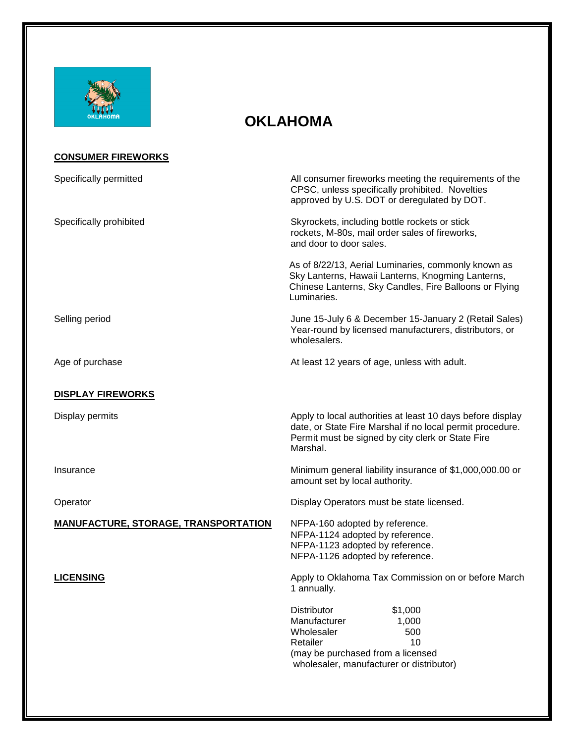

## **OKLAHOMA**

| <b>CONSUMER FIREWORKS</b>                   |                                                                                                                                                                                          |
|---------------------------------------------|------------------------------------------------------------------------------------------------------------------------------------------------------------------------------------------|
| Specifically permitted                      | All consumer fireworks meeting the requirements of the<br>CPSC, unless specifically prohibited. Novelties<br>approved by U.S. DOT or deregulated by DOT.                                 |
| Specifically prohibited                     | Skyrockets, including bottle rockets or stick<br>rockets, M-80s, mail order sales of fireworks,<br>and door to door sales.                                                               |
|                                             | As of 8/22/13, Aerial Luminaries, commonly known as<br>Sky Lanterns, Hawaii Lanterns, Knogming Lanterns,<br>Chinese Lanterns, Sky Candles, Fire Balloons or Flying<br>Luminaries.        |
| Selling period                              | June 15-July 6 & December 15-January 2 (Retail Sales)<br>Year-round by licensed manufacturers, distributors, or<br>wholesalers.                                                          |
| Age of purchase                             | At least 12 years of age, unless with adult.                                                                                                                                             |
| <b>DISPLAY FIREWORKS</b>                    |                                                                                                                                                                                          |
| Display permits                             | Apply to local authorities at least 10 days before display<br>date, or State Fire Marshal if no local permit procedure.<br>Permit must be signed by city clerk or State Fire<br>Marshal. |
| Insurance                                   | Minimum general liability insurance of \$1,000,000.00 or<br>amount set by local authority.                                                                                               |
| Operator                                    | Display Operators must be state licensed.                                                                                                                                                |
| <b>MANUFACTURE, STORAGE, TRANSPORTATION</b> | NFPA-160 adopted by reference.<br>NFPA-1124 adopted by reference.<br>NFPA-1123 adopted by reference.<br>NFPA-1126 adopted by reference.                                                  |
| <b>LICENSING</b>                            | Apply to Oklahoma Tax Commission on or before March<br>1 annually.                                                                                                                       |
|                                             | Distributor<br>\$1,000<br>Manufacturer<br>1,000<br>Wholesaler<br>500<br>Retailer<br>10<br>(may be purchased from a licensed<br>wholesaler, manufacturer or distributor)                  |